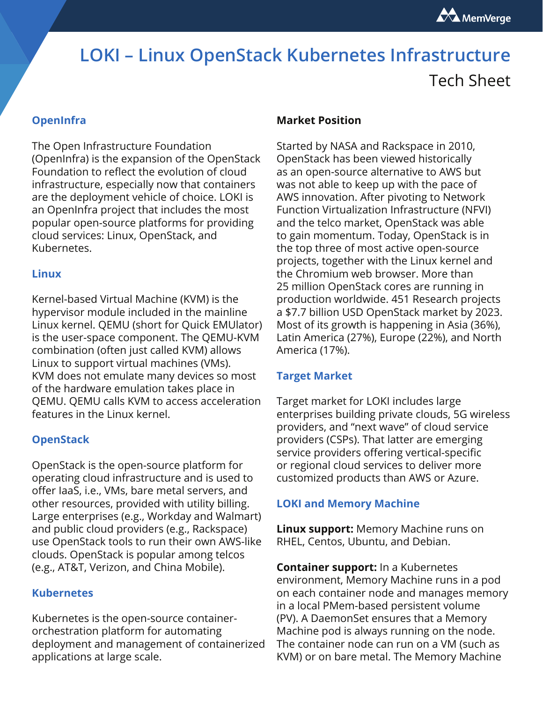

# **LOKI – Linux OpenStack Kubernetes Infrastructure**

# Tech Sheet

# **OpenInfra**

The Open Infrastructure Foundation (OpenInfra) is the expansion of the OpenStack Foundation to reflect the evolution of cloud infrastructure, especially now that containers are the deployment vehicle of choice. LOKI is an OpenInfra project that includes the most popular open-source platforms for providing cloud services: Linux, OpenStack, and Kubernetes.

#### **Linux**

Kernel-based Virtual Machine (KVM) is the hypervisor module included in the mainline Linux kernel. QEMU (short for Quick EMUlator) is the user-space component. The QEMU-KVM combination (often just called KVM) allows Linux to support virtual machines (VMs). KVM does not emulate many devices so most of the hardware emulation takes place in QEMU. QEMU calls KVM to access acceleration features in the Linux kernel.

#### **OpenStack**

OpenStack is the open-source platform for operating cloud infrastructure and is used to offer IaaS, i.e., VMs, bare metal servers, and other resources, provided with utility billing. Large enterprises (e.g., Workday and Walmart) and public cloud providers (e.g., Rackspace) use OpenStack tools to run their own AWS-like clouds. OpenStack is popular among telcos (e.g., AT&T, Verizon, and China Mobile).

#### **Kubernetes**

Kubernetes is the open-source containerorchestration platform for automating deployment and management of containerized applications at large scale.

#### **Market Position**

Started by NASA and Rackspace in 2010, OpenStack has been viewed historically as an open-source alternative to AWS but was not able to keep up with the pace of AWS innovation. After pivoting to Network Function Virtualization Infrastructure (NFVI) and the telco market, OpenStack was able to gain momentum. Today, OpenStack is in the top three of most active open-source projects, together with the Linux kernel and the Chromium web browser. More than 25 million OpenStack cores are running in production worldwide. 451 Research projects a \$7.7 billion USD OpenStack market by 2023. Most of its growth is happening in Asia (36%), Latin America (27%), Europe (22%), and North America (17%).

#### **Target Market**

Target market for LOKI includes large enterprises building private clouds, 5G wireless providers, and "next wave" of cloud service providers (CSPs). That latter are emerging service providers offering vertical-specific or regional cloud services to deliver more customized products than AWS or Azure.

#### **LOKI and Memory Machine**

**Linux support:** Memory Machine runs on RHEL, Centos, Ubuntu, and Debian.

**Container support:** In a Kubernetes environment, Memory Machine runs in a pod on each container node and manages memory in a local PMem-based persistent volume (PV). A DaemonSet ensures that a Memory Machine pod is always running on the node. The container node can run on a VM (such as KVM) or on bare metal. The Memory Machine